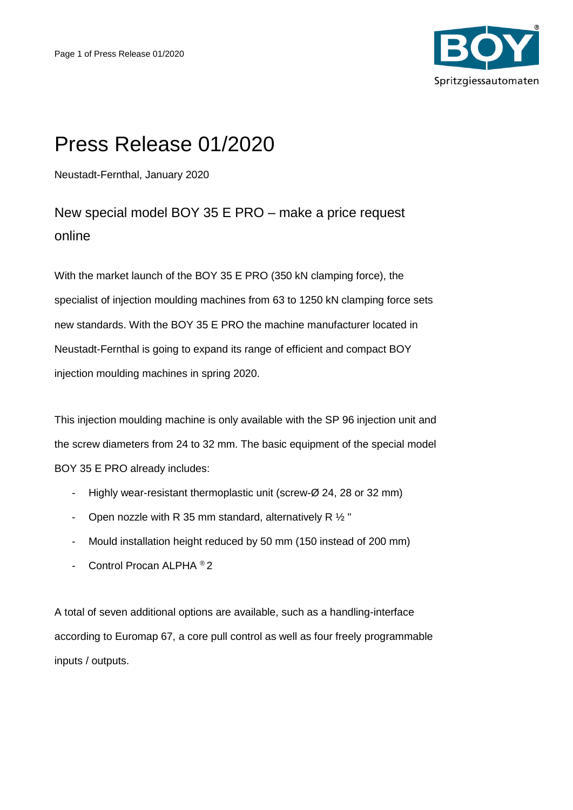

## Press Release 01/2020

Neustadt-Fernthal, January 2020

New special model BOY 35 E PRO – make a price request online

With the market launch of the BOY 35 E PRO (350 kN clamping force), the specialist of injection moulding machines from 63 to 1250 kN clamping force sets new standards. With the BOY 35 E PRO the machine manufacturer located in Neustadt-Fernthal is going to expand its range of efficient and compact BOY injection moulding machines in spring 2020.

This injection moulding machine is only available with the SP 96 injection unit and the screw diameters from 24 to 32 mm. The basic equipment of the special model BOY 35 E PRO already includes:

- Highly wear-resistant thermoplastic unit (screw-Ø 24, 28 or 32 mm)
- Open nozzle with R 35 mm standard, alternatively R  $\frac{1}{2}$  "
- Mould installation height reduced by 50 mm (150 instead of 200 mm)
- Control Procan ALPHA ® 2

A total of seven additional options are available, such as a handling-interface according to Euromap 67, a core pull control as well as four freely programmable inputs / outputs.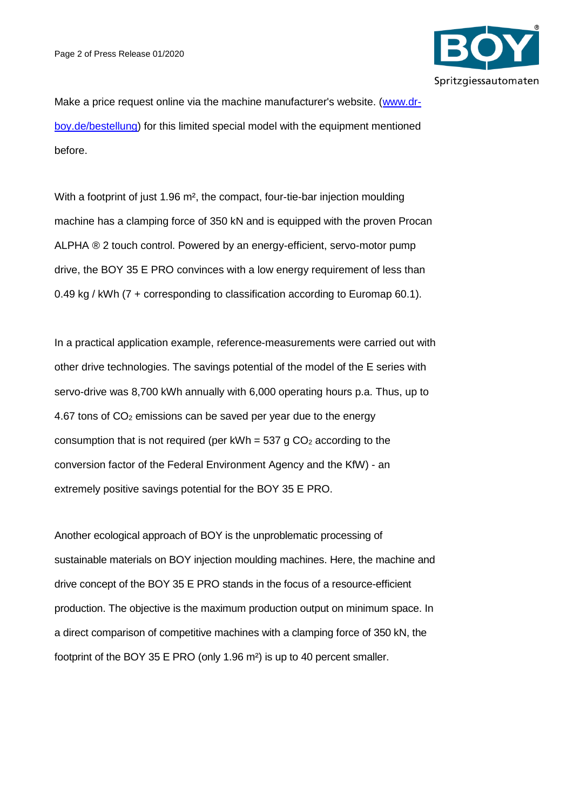

Make a price request online via the machine manufacturer's website. [\(www.dr](http://www.dr-boy.de/bestellung)[boy.de/bestellung\)](http://www.dr-boy.de/bestellung) for this limited special model with the equipment mentioned before.

With a footprint of just 1.96 m², the compact, four-tie-bar injection moulding machine has a clamping force of 350 kN and is equipped with the proven Procan ALPHA ® 2 touch control. Powered by an energy-efficient, servo-motor pump drive, the BOY 35 E PRO convinces with a low energy requirement of less than 0.49 kg / kWh (7 + corresponding to classification according to Euromap 60.1).

In a practical application example, reference-measurements were carried out with other drive technologies. The savings potential of the model of the E series with servo-drive was 8,700 kWh annually with 6,000 operating hours p.a. Thus, up to 4.67 tons of  $CO<sub>2</sub>$  emissions can be saved per year due to the energy consumption that is not required (per kWh =  $537$  g  $CO<sub>2</sub>$  according to the conversion factor of the Federal Environment Agency and the KfW) - an extremely positive savings potential for the BOY 35 E PRO.

Another ecological approach of BOY is the unproblematic processing of sustainable materials on BOY injection moulding machines. Here, the machine and drive concept of the BOY 35 E PRO stands in the focus of a resource-efficient production. The objective is the maximum production output on minimum space. In a direct comparison of competitive machines with a clamping force of 350 kN, the footprint of the BOY 35 E PRO (only 1.96 m²) is up to 40 percent smaller.